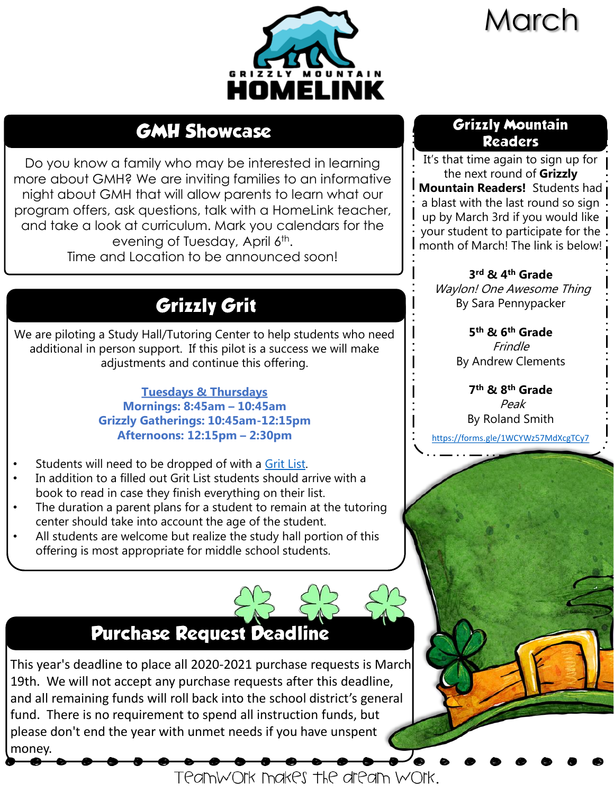# March



## **GMH Showcase**

Do you know a family who may be interested in learning more about GMH? We are inviting families to an informative night about GMH that will allow parents to learn what our program offers, ask questions, talk with a HomeLink teacher, and take a look at curriculum. Mark you calendars for the evening of Tuesday, April 6<sup>th</sup>. Time and Location to be announced soon!

# **Grizzly Grit**

We are piloting a Study Hall/Tutoring Center to help students who need additional in person support. If this pilot is a success we will make adjustments and continue this offering.

> **Tuesdays & Thursdays Mornings: 8:45am – 10:45am Grizzly Gatherings: 10:45am-12:15pm Afternoons: 12:15pm – 2:30pm**

- Students will need to be dropped of with a [Grit List.](https://drive.google.com/file/d/1HOuFfhFJ8IZsl_phQPbqO09WWM-NGtjp/view?usp=sharing)
- In addition to a filled out Grit List students should arrive with a book to read in case they finish everything on their list.
- The duration a parent plans for a student to remain at the tutoring center should take into account the age of the student.
- All students are welcome but realize the study hall portion of this offering is most appropriate for middle school students.

## **Purchase Request Deadline**

This year's deadline to place all 2020-2021 purchase requests is March 19th. We will not accept any purchase requests after this deadline, and all remaining funds will roll back into the school district's general fund. There is no requirement to spend all instruction funds, but please don't end the year with unmet needs if you have unspent money.

Teamwork makes the dream work.

### **Grizzly Mountain Readers**

It's that time again to sign up for the next round of **Grizzly Mountain Readers!** Students had a blast with the last round so sign up by March 3rd if you would like your student to participate for the month of March! The link is below!

**3 rd & 4th Grade** Waylon! One Awesome Thing By Sara Pennypacker

> **5 th & 6th Grade** Frindle By Andrew Clements

**7 th & 8th Grade** Peak By Roland Smith

<https://forms.gle/1WCYWz57MdXcgTCy7>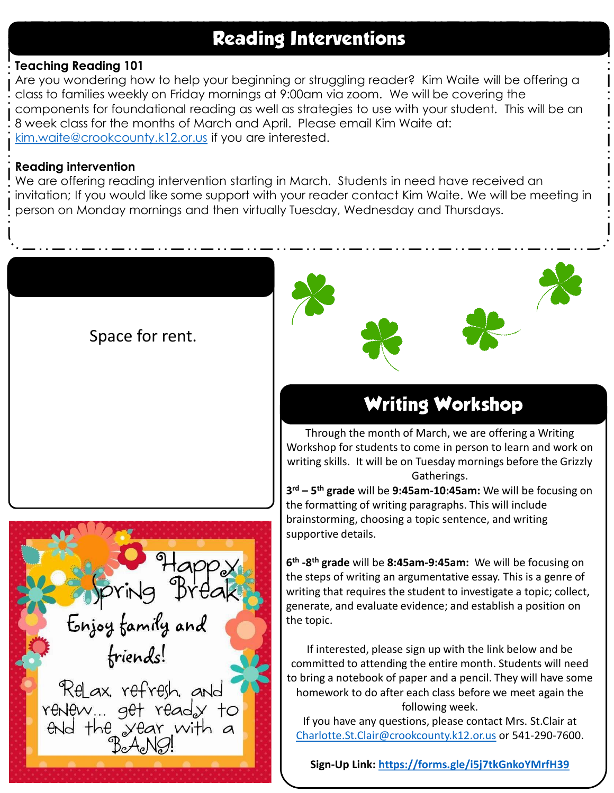### **Reading Interventions**

#### **Teaching Reading 101**

Are you wondering how to help your beginning or struggling reader? Kim Waite will be offering a class to families weekly on Friday mornings at 9:00am via zoom. We will be covering the components for foundational reading as well as strategies to use with your student. This will be an 8 week class for the months of March and April. Please email Kim Waite at: [kim.waite@crookcounty.k12.or.us](mailto:kim.waite@crookcounty.k12.or.us) if you are interested.

#### **Reading intervention**

We are offering reading intervention starting in March. Students in need have received an invitation; If you would like some support with your reader contact Kim Waite. We will be meeting in person on Monday mornings and then virtually Tuesday, Wednesday and Thursdays.

Space for rent.





## **Writing Workshop**

Through the month of March, we are offering a Writing Workshop for students to come in person to learn and work on writing skills. It will be on Tuesday mornings before the Grizzly Gatherings.

**3 rd – 5 th grade** will be **9:45am-10:45am:** We will be focusing on the formatting of writing paragraphs. This will include brainstorming, choosing a topic sentence, and writing supportive details.

**6 th -8 th grade** will be **8:45am-9:45am:** We will be focusing on the steps of writing an argumentative essay. This is a genre of writing that requires the student to investigate a topic; collect, generate, and evaluate evidence; and establish a position on the topic.

If interested, please sign up with the link below and be committed to attending the entire month. Students will need to bring a notebook of paper and a pencil. They will have some homework to do after each class before we meet again the following week.

If you have any questions, please contact Mrs. St.Clair at [Charlotte.St.Clair@crookcounty.k12.or.us](mailto:Charlotte.St.Clair@crookcounty.k12.or.us) or 541-290-7600.

**Sign-Up Link: <https://forms.gle/i5j7tkGnkoYMrfH39>**